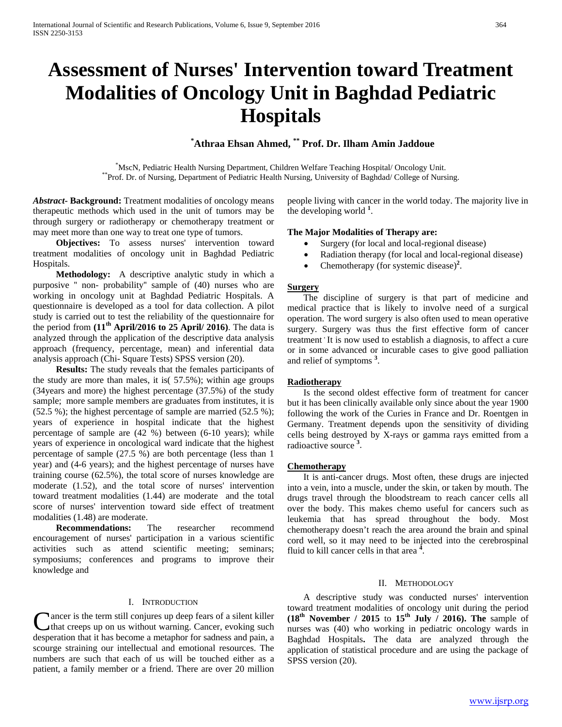# **Assessment of Nurses' Intervention toward Treatment Modalities of Oncology Unit in Baghdad Pediatric Hospitals**

# **\* Athraa Ehsan Ahmed, \*\* Prof. Dr. Ilham Amin Jaddoue**

\*MscN, Pediatric Health Nursing Department, Children Welfare Teaching Hospital/ Oncology Unit. \*\*Prof. Dr. of Nursing, Department of Pediatric Health Nursing, University of Baghdad/ College of Nursing.

*Abstract***- Background:** Treatment modalities of oncology means therapeutic methods which used in the unit of tumors may be through surgery or radiotherapy or chemotherapy treatment or may meet more than one way to treat one type of tumors.

 **Objectives:** To assess nurses' intervention toward treatment modalities of oncology unit in Baghdad Pediatric Hospitals.

 **Methodology:** A descriptive analytic study in which a purposive '' non- probability'' sample of (40) nurses who are working in oncology unit at Baghdad Pediatric Hospitals. A questionnaire is developed as a tool for data collection. A pilot study is carried out to test the reliability of the questionnaire for the period from **(11th April/2016 to 25 April/ 2016)**. The data is analyzed through the application of the descriptive data analysis approach (frequency, percentage, mean) and inferential data analysis approach (Chi- Square Tests) SPSS version (20).

 **Results:** The study reveals that the females participants of the study are more than males, it is( 57.5%); within age groups (34years and more) the highest percentage (37.5%) of the study sample; more sample members are graduates from institutes, it is (52.5 %); the highest percentage of sample are married (52.5 %); years of experience in hospital indicate that the highest percentage of sample are (42 %) between (6-10 years); while years of experience in oncological ward indicate that the highest percentage of sample (27.5 %) are both percentage (less than 1 year) and (4-6 years); and the highest percentage of nurses have training course (62.5%), the total score of nurses knowledge are moderate (1.52), and the total score of nurses' intervention toward treatment modalities (1.44) are moderate and the total score of nurses' intervention toward side effect of treatment modalities (1.48) are moderate.

 **Recommendations:** The researcher recommend encouragement of nurses' participation in a various scientific activities such as attend scientific meeting; seminars; symposiums; conferences and programs to improve their knowledge and

#### I. INTRODUCTION

ancer is the term still conjures up deep fears of a silent killer that creeps up on us without warning. Cancer, evoking such Cancer is the term still conjures up deep fears of a silent killer<br>that creeps up on us without warning. Cancer, evoking such<br>desperation that it has become a metaphor for sadness and pain, a scourge straining our intellectual and emotional resources. The numbers are such that each of us will be touched either as a patient, a family member or a friend. There are over 20 million

people living with cancer in the world today. The majority live in the developing world <sup>1</sup>.

### **The Major Modalities of Therapy are:**

- Surgery (for local and local-regional disease)
- Radiation therapy (for local and local-regional disease)
- Chemotherapy (for systemic disease)<sup>2</sup>.

# **Surgery**

 The discipline of surgery is that part of medicine and medical practice that is likely to involve need of a surgical operation. The word surgery is also often used to mean operative surgery. Surgery was thus the first effective form of cancer treatment It is now used to establish a diagnosis, to affect a cure or in some advanced or incurable cases to give good palliation and relief of symptoms<sup>3</sup>.

#### *<sup>U</sup>***Radiotherapy**

 Is the second oldest effective form of treatment for cancer but it has been clinically available only since about the year 1900 following the work of the Curies in France and Dr. Roentgen in Germany. Treatment depends upon the sensitivity of dividing cells being destroyed by X-rays or gamma rays emitted from a radioactive source<sup>3</sup>.

#### *<sup>U</sup>***Chemotherapy**

 It is anti-cancer drugs. Most often, these drugs are injected into a vein, into a muscle, under the skin, or taken by mouth. The drugs travel through the bloodstream to reach cancer cells all over the body. This makes chemo useful for cancers such as leukemia that has spread throughout the body. Most chemotherapy doesn't reach the area around the brain and spinal cord well, so it may need to be injected into the cerebrospinal fluid to kill cancer cells in that area<sup> $4$ </sup>.

#### II. METHODOLOGY

 A descriptive study was conducted nurses' intervention toward treatment modalities of oncology unit during the period  $(18<sup>th</sup>$  **November / 2015 to 15<sup>th</sup> July / 2016). The sample of** nurses was (40) who working in pediatric oncology wards in Baghdad Hospitals**.** The data are analyzed through the application of statistical procedure and are using the package of SPSS version (20).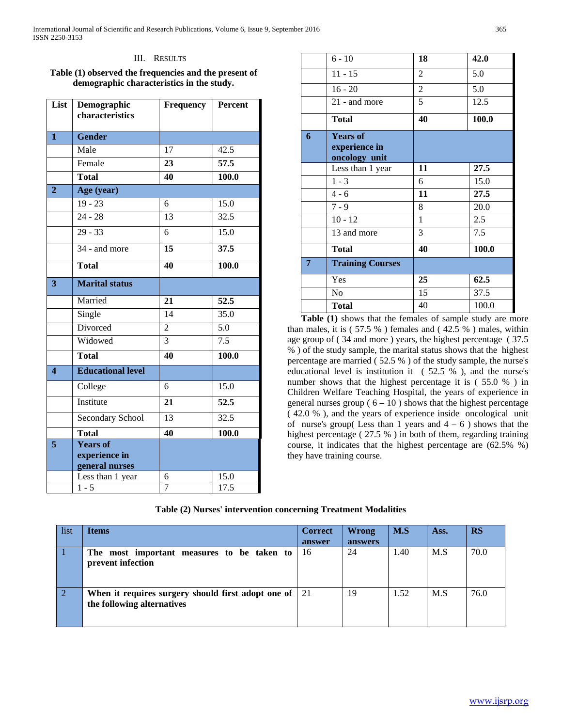#### III. RESULTS

**Table (1) observed the frequencies and the present of demographic characteristics in the study.**

| List                    | Demographic<br>characteristics         | <b>Frequency</b>    | <b>Percent</b>    |
|-------------------------|----------------------------------------|---------------------|-------------------|
|                         |                                        |                     |                   |
| $\mathbf{1}$            | <b>Gender</b>                          |                     |                   |
|                         | Male                                   | 17                  | 42.5              |
|                         | Female                                 | 23                  | 57.5              |
|                         | <b>Total</b>                           | 40                  | 100.0             |
| $\overline{2}$          | Age (year)                             |                     |                   |
|                         | $19 - 23$                              | 6                   | 15.0              |
|                         | $24 - 28$                              | 13                  | $\overline{32.5}$ |
|                         | $29 - 33$                              | 6                   | 15.0              |
|                         | 34 - and more                          | 15                  | 37.5              |
|                         | <b>Total</b>                           | 40                  | 100.0             |
| $\overline{\mathbf{3}}$ | <b>Marital status</b>                  |                     |                   |
|                         | Married                                | 21                  | 52.5              |
|                         | Single                                 | 14                  | 35.0              |
|                         | Divorced                               | $\overline{2}$      | 5.0               |
|                         | Widowed                                | 3                   | 7.5               |
|                         | <b>Total</b>                           | 40                  | 100.0             |
| $\overline{\mathbf{4}}$ | <b>Educational level</b>               |                     |                   |
|                         | College                                | 6                   | 15.0              |
|                         | Institute                              | 21                  | 52.5              |
|                         | Secondary School                       | 13                  | 32.5              |
|                         | <b>Total</b>                           | 40                  | 100.0             |
| $\overline{\mathbf{5}}$ | <b>Years of</b>                        |                     |                   |
|                         | experience in                          |                     |                   |
|                         | general nurses                         |                     |                   |
|                         | Less than 1 year<br>$\overline{1}$ - 5 | 6<br>$\overline{7}$ | 15.0<br>17.5      |

|   | $6 - 10$                                          | 18             | 42.0  |
|---|---------------------------------------------------|----------------|-------|
|   | $11 - 15$                                         | $\overline{2}$ | 5.0   |
|   | $16 - 20$                                         | $\overline{2}$ | 5.0   |
|   | 21 - and more                                     | 5              | 12.5  |
|   | <b>Total</b>                                      | 40             | 100.0 |
| 6 | <b>Years of</b><br>experience in<br>oncology unit |                |       |
|   | Less than 1 year                                  | 11             | 27.5  |
|   | $1 - 3$                                           | 6              | 15.0  |
|   | $4 - 6$                                           | 11             | 27.5  |
|   | $7 - 9$                                           | 8              | 20.0  |
|   | $10 - 12$                                         | $\mathbf{1}$   | 2.5   |
|   | 13 and more                                       | 3              | 7.5   |
|   | <b>Total</b>                                      | 40             | 100.0 |
| 7 | <b>Training Courses</b>                           |                |       |
|   |                                                   |                |       |
|   | Yes                                               | 25             | 62.5  |
|   | N <sub>0</sub>                                    | 15             | 37.5  |

 **Table (1)** shows that the females of sample study are more than males, it is ( 57.5 % ) females and ( 42.5 % ) males, within age group of ( 34 and more ) years, the highest percentage ( 37.5 % ) of the study sample, the marital status shows that the highest percentage are married ( 52.5 % ) of the study sample, the nurse's educational level is institution it ( 52.5 % ), and the nurse's number shows that the highest percentage it is ( 55.0 % ) in Children Welfare Teaching Hospital, the years of experience in general nurses group ( $6 - 10$ ) shows that the highest percentage ( 42.0 % ), and the years of experience inside oncological unit of nurse's group(Less than 1 years and  $4 - 6$ ) shows that the highest percentage ( 27.5 % ) in both of them, regarding training course, it indicates that the highest percentage are (62.5% %) they have training course.

**Table (2) Nurses' intervention concerning Treatment Modalities**

| list | <b>Items</b>                                                                     | <b>Correct</b> | Wrong   | M.S  | Ass. | <b>RS</b> |
|------|----------------------------------------------------------------------------------|----------------|---------|------|------|-----------|
|      |                                                                                  | answer         | answers |      |      |           |
|      | The most important measures to be taken to<br>prevent infection                  | 16             | 24      | .40  | M.S  | 70.0      |
|      | When it requires surgery should first adopt one of<br>the following alternatives | 21             | 19      | 1.52 | M.S  | 76.0      |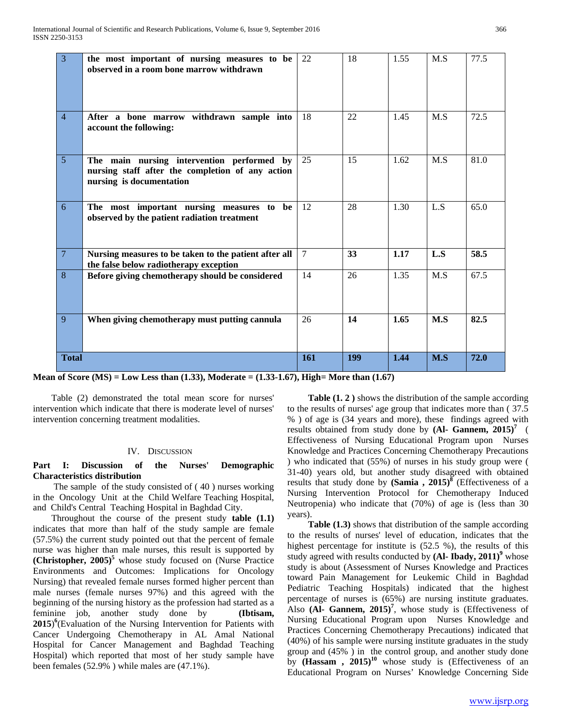| $\overline{3}$  | the most important of nursing measures to be<br>observed in a room bone marrow withdrawn                                   | 22     | 18  | 1.55 | M.S | 77.5 |
|-----------------|----------------------------------------------------------------------------------------------------------------------------|--------|-----|------|-----|------|
| $\overline{4}$  | After a bone marrow withdrawn sample into<br>account the following:                                                        | 18     | 22  | 1.45 | M.S | 72.5 |
| 5               | The main nursing intervention performed by<br>nursing staff after the completion of any action<br>nursing is documentation | 25     | 15  | 1.62 | M.S | 81.0 |
| 6               | The most important nursing measures to be<br>observed by the patient radiation treatment                                   | 12     | 28  | 1.30 | L.S | 65.0 |
| $7\phantom{.0}$ | Nursing measures to be taken to the patient after all<br>the false below radiotherapy exception                            | $\tau$ | 33  | 1.17 | L.S | 58.5 |
| 8               | Before giving chemotherapy should be considered                                                                            | 14     | 26  | 1.35 | M.S | 67.5 |
| 9               | When giving chemotherapy must putting cannula                                                                              | 26     | 14  | 1.65 | M.S | 82.5 |
| <b>Total</b>    |                                                                                                                            | 161    | 199 | 1.44 | M.S | 72.0 |

**Mean of Score (MS) = Low Less than (1.33), Moderate = (1.33-1.67), High= More than (1.67)**

 Table (2) demonstrated the total mean score for nurses' intervention which indicate that there is moderate level of nurses' intervention concerning treatment modalities.

# IV. DISCUSSION

# **Part I: Discussion of the Nurses' Demographic Characteristics distribution**

 The sample of the study consisted of ( 40 ) nurses working in the Oncology Unit at the Child Welfare Teaching Hospital, and Child's Central Teaching Hospital in Baghdad City.

 Throughout the course of the present study **table (1.1)**  indicates that more than half of the study sample are female (57.5%) the current study pointed out that the percent of female nurse was higher than male nurses, this result is supported by **(Christopher, 2005)**<sup>5</sup> whose study focused on (Nurse Practice Environments and Outcomes: Implications for Oncology Nursing) that revealed female nurses formed higher percent than male nurses (female nurses 97%) and this agreed with the beginning of the nursing history as the profession had started as a feminine job, another study done by **(Ibtisam,**  2015)<sup>6</sup>(Evaluation of the Nursing Intervention for Patients with Cancer Undergoing Chemotherapy in AL Amal National Hospital for Cancer Management and Baghdad Teaching Hospital) which reported that most of her study sample have been females (52.9% ) while males are (47.1%).

 **Table (1. 2 )** shows the distribution of the sample according to the results of nurses' age group that indicates more than ( 37.5 % ) of age is (34 years and more), these findings agreed with results obtained from study done by (Al- Gannem, 2015)<sup>7</sup> ( Effectiveness of Nursing Educational Program upon Nurses Knowledge and Practices Concerning Chemotherapy Precautions ) who indicated that (55%) of nurses in his study group were ( 31-40) years old, but another study disagreed with obtained results that study done by **(Samia**, 2015)<sup>8</sup> (Effectiveness of a Nursing Intervention Protocol for Chemotherapy Induced Neutropenia) who indicate that (70%) of age is (less than 30 years).

 **Table (1.3)** shows that distribution of the sample according to the results of nurses' level of education, indicates that the highest percentage for institute is (52.5 %), the results of this study agreed with results conducted by (Al- Ibady, 2011)<sup>9</sup> whose study is about (Assessment of Nurses Knowledge and Practices toward Pain Management for Leukemic Child in Baghdad Pediatric Teaching Hospitals) indicated that the highest percentage of nurses is (65%) are nursing institute graduates. Also (Al- Gannem, 2015)<sup>7</sup>, whose study is (Effectiveness of Nursing Educational Program upon Nurses Knowledge and Practices Concerning Chemotherapy Precautions) indicated that (40%) of his sample were nursing institute graduates in the study group and (45% ) in the control group, and another study done by **(Hassam**,  $2015$ <sup> $10$ </sup> whose study is (Effectiveness of an Educational Program on Nurses' Knowledge Concerning Side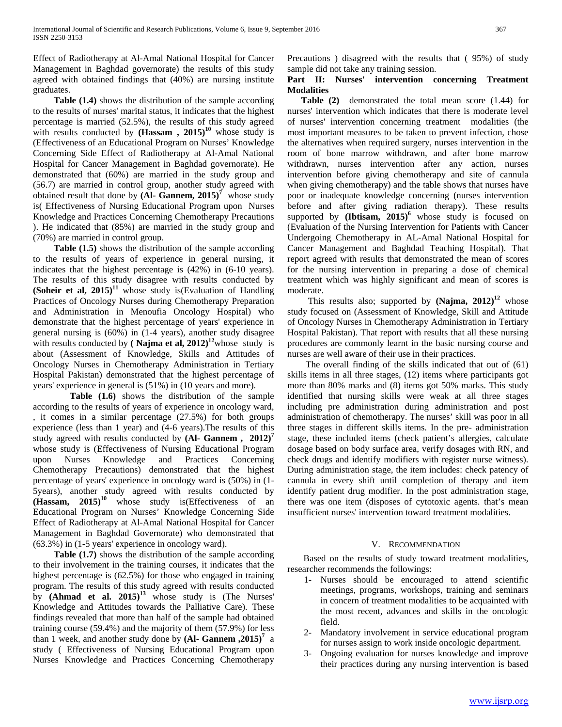Effect of Radiotherapy at Al-Amal National Hospital for Cancer Management in Baghdad governorate) the results of this study agreed with obtained findings that (40%) are nursing institute graduates.

 **Table (1.4)** shows the distribution of the sample according to the results of nurses' marital status, it indicates that the highest percentage is married (52.5%), the results of this study agreed with results conducted by  $(Hassam, 2015)^{10}$  whose study is (Effectiveness of an Educational Program on Nurses' Knowledge Concerning Side Effect of Radiotherapy at Al-Amal National Hospital for Cancer Management in Baghdad governorate). He demonstrated that (60%) are married in the study group and (56.7) are married in control group, another study agreed with obtained result that done by  $(AI - \text{Gannem}, 2015)^7$  whose study is( Effectiveness of Nursing Educational Program upon Nurses Knowledge and Practices Concerning Chemotherapy Precautions ). He indicated that (85%) are married in the study group and (70%) are married in control group.

 **Table (1.5)** shows the distribution of the sample according to the results of years of experience in general nursing, it indicates that the highest percentage is (42%) in (6-10 years). The results of this study disagree with results conducted by **(Soheir et al,**  $2015$ **)**<sup>11</sup> whose study is (Evaluation of Handling Practices of Oncology Nurses during Chemotherapy Preparation and Administration in Menoufia Oncology Hospital) who demonstrate that the highest percentage of years' experience in general nursing is (60%) in (1-4 years), another study disagree with results conducted by  $(Najma et al, 2012)^{12}$ whose study is about (Assessment of Knowledge, Skills and Attitudes of Oncology Nurses in Chemotherapy Administration in Tertiary Hospital Pakistan) demonstrated that the highest percentage of years' experience in general is (51%) in (10 years and more).

 **Table (1.6)** shows the distribution of the sample according to the results of years of experience in oncology ward, , it comes in a similar percentage (27.5%) for both groups experience (less than 1 year) and (4-6 years).The results of this study agreed with results conducted by **(Al- Gannem , 2012)<sup>7</sup>** whose study is (Effectiveness of Nursing Educational Program upon Nurses Knowledge and Practices Concerning Chemotherapy Precautions) demonstrated that the highest percentage of years' experience in oncology ward is (50%) in (1- 5years), another study agreed with results conducted by (Hassam, 2015)<sup>10</sup> whose study is(Effectiveness of an Educational Program on Nurses' Knowledge Concerning Side Effect of Radiotherapy at Al-Amal National Hospital for Cancer Management in Baghdad Governorate) who demonstrated that (63.3%) in (1-5 years' experience in oncology ward).

 **Table (1.7)** shows the distribution of the sample according to their involvement in the training courses, it indicates that the highest percentage is (62.5%) for those who engaged in training program. The results of this study agreed with results conducted by **(Ahmad et al. 2015)<sup>13</sup>** whose study is (The Nurses' Knowledge and Attitudes towards the Palliative Care). These findings revealed that more than half of the sample had obtained training course (59.4%) and the majority of them (57.9%) for less than 1 week, and another study done by  $(AI - \text{Gannem}, 2015)^7$  a study ( Effectiveness of Nursing Educational Program upon Nurses Knowledge and Practices Concerning Chemotherapy

Precautions ) disagreed with the results that (95%) of study sample did not take any training session.

# **Part II: Nurses' intervention concerning Treatment Modalities**

 **Table (2)** demonstrated the total mean score (1.44) for nurses' intervention which indicates that there is moderate level of nurses' intervention concerning treatment modalities (the most important measures to be taken to prevent infection, chose the alternatives when required surgery, nurses intervention in the room of bone marrow withdrawn, and after bone marrow withdrawn, nurses intervention after any action, nurses intervention before giving chemotherapy and site of cannula when giving chemotherapy) and the table shows that nurses have poor or inadequate knowledge concerning (nurses intervention before and after giving radiation therapy). These results supported by **(Ibtisam, 2015)**<sup>6</sup> whose study is focused on (Evaluation of the Nursing Intervention for Patients with Cancer Undergoing Chemotherapy in AL-Amal National Hospital for Cancer Management and Baghdad Teaching Hospital). That report agreed with results that demonstrated the mean of scores for the nursing intervention in preparing a dose of chemical treatment which was highly significant and mean of scores is moderate.

This results also; supported by  $(Najma, 2012)^{12}$  whose study focused on (Assessment of Knowledge, Skill and Attitude of Oncology Nurses in Chemotherapy Administration in Tertiary Hospital Pakistan). That report with results that all these nursing procedures are commonly learnt in the basic nursing course and nurses are well aware of their use in their practices.

 The overall finding of the skills indicated that out of (61) skills items in all three stages, (12) items where participants got more than 80% marks and (8) items got 50% marks. This study identified that nursing skills were weak at all three stages including pre administration during administration and post administration of chemotherapy. The nurses' skill was poor in all three stages in different skills items. In the pre- administration stage, these included items (check patient's allergies, calculate dosage based on body surface area, verify dosages with RN, and check drugs and identify modifiers with register nurse witness). During administration stage, the item includes: check patency of cannula in every shift until completion of therapy and item identify patient drug modifier. In the post administration stage, there was one item (disposes of cytotoxic agents. that's mean insufficient nurses' intervention toward treatment modalities.

# V. RECOMMENDATION

 Based on the results of study toward treatment modalities, researcher recommends the followings:

- 1- Nurses should be encouraged to attend scientific meetings, programs, workshops, training and seminars in concern of treatment modalities to be acquainted with the most recent, advances and skills in the oncologic field.
- 2- Mandatory involvement in service educational program for nurses assign to work inside oncologic department.
- 3- Ongoing evaluation for nurses knowledge and improve their practices during any nursing intervention is based